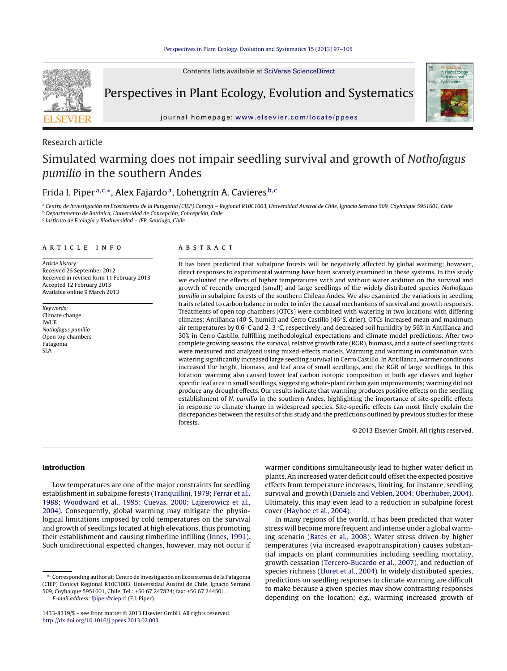Contents lists available at SciVerse [ScienceDirect](http://www.sciencedirect.com/science/journal/14338319)



Perspectives in Plant Ecology, Evolution and Systematics



journal homepage: [www.elsevier.com/locate/ppees](http://www.elsevier.com/locate/ppees)

# Research article

# Simulated warming does not impair seedling survival and growth of Nothofagus pumilio in the southern Andes

# Frida I. Piper<sup>a, c,∗</sup>, Alex Fajardo<sup>a</sup>, Lohengrin A. Cavieres <sup>b, c</sup>

a Centro de Investigación en Ecosistemas de la Patagonia (CIEP) Conicyt - Regional R10C1003, Universidad Austral de Chile, Ignacio Serrano 509, Coyhaique 5951601, Chile <sup>b</sup> Departamento de Botánica, Universidad de Concepción, Concepción, Chile

<sup>c</sup> Instituto de Ecología y Biodiversidad – IEB, Santiago, Chile

#### a r t i c l e i n f o

Article history: Received 26 September 2012 Received in revised form 11 February 2013 Accepted 12 February 2013 Available online 9 March 2013

Keywords: Climate change iWUE Nothofagus pumilio Open top chambers Patagonia SLA

#### A B S T R A C T

It has been predicted that subalpine forests will be negatively affected by global warming; however, direct responses to experimental warming have been scarcely examined in these systems. In this study we evaluated the effects of higher temperatures with and without water addition on the survival and growth of recently emerged (small) and large seedlings of the widely distributed species Nothofagus pumilio in subalpine forests of the southern Chilean Andes. We also examined the variations in seedling traits related to carbon balance in order to infer the causal mechanisms of survival and growth responses. Treatments of open top chambers (OTCs) were combined with watering in two locations with differing climates: Antillanca (40◦S, humid) and Cerro Castillo (46◦S, drier). OTCs increased mean and maximum air temperatures by 0.6 ◦C and 2–3 ◦C, respectively, and decreased soil humidity by 56% in Antillanca and 30% in Cerro Castillo, fulfilling methodological expectations and climate model predictions. After two complete growing seasons, the survival, relative growth rate (RGR), biomass, and a suite of seedling traits were measured and analyzed using mixed-effects models. Warming and warming in combination with watering significantly increased large seedling survival in Cerro Castillo. In Antillanca, warmer conditions increased the height, biomass, and leaf area of small seedlings, and the RGR of large seedlings. In this location, warming also caused lower leaf carbon isotopic composition in both age classes and higher specific leaf area in small seedlings, suggesting whole-plant carbon gain improvements; warming did not produce any drought effects. Our results indicate that warming produces positive effects on the seedling establishment of N. pumilio in the southern Andes, highlighting the importance of site-specific effects in response to climate change in widespread species. Site-specific effects can most likely explain the discrepancies between the results of this study and the predictions outlined by previous studies for these forests.

© 2013 Elsevier GmbH. All rights reserved.

## **Introduction**

Low temperatures are one of the major constraints for seedling establishment in subalpine forests [\(Tranquillini,](#page-8-0) [1979;](#page-8-0) [Ferrar](#page-8-0) et [al.,](#page-8-0) [1988;](#page-8-0) [Woodward](#page-8-0) et [al.,](#page-8-0) [1995;](#page-8-0) [Cuevas,](#page-8-0) [2000;](#page-8-0) [Lajzerowicz](#page-8-0) et [al.,](#page-8-0) [2004\).](#page-8-0) Consequently, global warming may mitigate the physiological limitations imposed by cold temperatures on the survival and growth of seedlings located at high elevations, thus promoting their establishment and causing timberline infilling ([Innes,](#page-7-0) [1991\).](#page-7-0) Such unidirectional expected changes, however, may not occur if warmer conditions simultaneously lead to higher water deficit in plants. An increased water deficit could offsetthe expected positive effects from temperature increases, limiting, for instance, seedling survival and growth ([Daniels](#page-7-0) [and](#page-7-0) [Veblen,](#page-7-0) [2004;](#page-7-0) [Oberhuber,](#page-7-0) [2004\).](#page-7-0) Ultimately, this may even lead to a reduction in subalpine forest cover ([Hayhoe](#page-7-0) et [al.,](#page-7-0) [2004\).](#page-7-0)

In many regions of the world, it has been predicted that water stress will become more frequent and intense under a global warming scenario [\(Bates](#page-7-0) et [al.,](#page-7-0) [2008\).](#page-7-0) Water stress driven by higher temperatures (via increased evapotranspiration) causes substantial impacts on plant communities including seedling mortality, growth cessation [\(Tercero-Bucardo](#page-8-0) et [al.,](#page-8-0) [2007\),](#page-8-0) and reduction of species richness [\(Lloret](#page-7-0) et [al.,](#page-7-0) [2004\).](#page-7-0) In widely distributed species, predictions on seedling responses to climate warming are difficult to make because a given species may show contrasting responses depending on the location; e.g., warming increased growth of

<sup>∗</sup> Corresponding author at:Centrode InvestigaciónenEcosistemasde la Patagonia (CIEP) Conicyt Regional R10C1003, Universidad Austral de Chile, Ignacio Serrano 509, Coyhaique 5951601, Chile. Tel.: +56 67 247824; fax: +56 67 244501.

E-mail address: [fpiper@ciep.cl](mailto:fpiper@ciep.cl) (F.I. Piper).

<sup>1433-8319/\$</sup> – see front matter © 2013 Elsevier GmbH. All rights reserved. [http://dx.doi.org/10.1016/j.ppees.2013.02.003](dx.doi.org/10.1016/j.ppees.2013.02.003)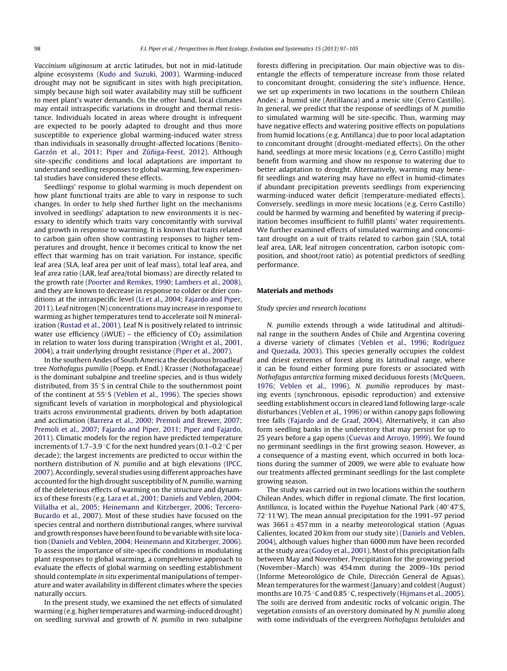Vaccinium uliginosum at arctic latitudes, but not in mid-latitude alpine ecosystems ([Kudo](#page-7-0) [and](#page-7-0) [Suzuki,](#page-7-0) [2003\).](#page-7-0) Warming-induced drought may not be significant in sites with high precipitation, simply because high soil water availability may still be sufficient to meet plant's water demands. On the other hand, local climates may entail intraspecific variations in drought and thermal resistance. Individuals located in areas where drought is infrequent are expected to be poorly adapted to drought and thus more susceptible to experience global warming-induced water stress than individuals in seasonally drought-affected locations ([Benito-](#page-7-0)[Garzón](#page-7-0) et [al.,](#page-7-0) [2011;](#page-7-0) [Piper](#page-7-0) [and](#page-7-0) Zúñiga-Feest, [2012\).](#page-7-0) Although site-specific conditions and local adaptations are important to understand seedling responses to global warming, few experimental studies have considered these effects.

Seedlings' response to global warming is much dependent on how plant functional traits are able to vary in response to such changes. In order to help shed further light on the mechanisms involved in seedlings' adaptation to new environments it is necessary to identify which traits vary concomitantly with survival and growth in response to warming. It is known that traits related to carbon gain often show contrasting responses to higher temperatures and drought, hence it becomes critical to know the net effect that warming has on trait variation. For instance, specific leaf area (SLA, leaf area per unit of leaf mass), total leaf area, and leaf area ratio (LAR, leaf area/total biomass) are directly related to the growth rate ([Poorter](#page-8-0) [and](#page-8-0) [Remkes,](#page-8-0) [1990;](#page-8-0) [Lambers](#page-8-0) et [al.,](#page-8-0) [2008\),](#page-8-0) and they are known to decrease in response to colder or drier conditions at the intraspecific level ([Li](#page-7-0) et [al.,](#page-7-0) [2004;](#page-7-0) [Fajardo](#page-7-0) [and](#page-7-0) [Piper,](#page-7-0) [2011\).](#page-7-0) Leaf nitrogen (N) concentrations may increase in response to warming as higher temperatures tend to accelerate soil N mineralization [\(Rustad](#page-8-0) et [al.,](#page-8-0) [2001\).](#page-8-0) Leaf N is positively related to intrinsic water use efficiency (iWUE) – the efficiency of  $CO<sub>2</sub>$  assimilation in relation to water loss during transpiration [\(Wright](#page-8-0) et [al.,](#page-8-0) [2001,](#page-8-0) [2004\),](#page-8-0) a trait underlying drought resistance ([Piper](#page-8-0) et [al.,](#page-8-0) [2007\).](#page-8-0)

In the southern Andes of South America the deciduous broadleaf tree Nothofagus pumilio (Poepp. et Endl.) Krasser (Nothofagaceae) is the dominant subalpine and treeline species, and is thus widely distributed, from 35◦S in central Chile to the southernmost point of the continent at 55◦S ([Veblen](#page-8-0) et [al.,](#page-8-0) [1996\).](#page-8-0) The species shows significant levels of variation in morphological and physiological traits across environmental gradients, driven by both adaptation and acclimation [\(Barrera](#page-7-0) et [al.,](#page-7-0) [2000;](#page-7-0) [Premoli](#page-7-0) [and](#page-7-0) [Brewer,](#page-7-0) [2007;](#page-7-0) [Premoli](#page-7-0) et [al.,](#page-7-0) [2007;](#page-7-0) [Fajardo](#page-7-0) [and](#page-7-0) [Piper,](#page-7-0) [2011;](#page-7-0) [Piper](#page-7-0) [and](#page-7-0) [Fajardo,](#page-7-0) [2011\).](#page-7-0) Climatic models for the region have predicted temperature increments of 1.7–3.9 ◦C for the next hundred years (0.1–0.2 ◦C per decade); the largest increments are predicted to occur within the northern distribution of N. pumilio and at high elevations ([IPCC,](#page-7-0) [2007\).](#page-7-0)Accordingly, several studies using different approaches have accounted for the high drought susceptibility of N. pumilio, warning of the deleterious effects of warming on the structure and dynamics of these forests (e.g. [Lara](#page-7-0) et [al.,](#page-7-0) [2001;](#page-7-0) [Daniels](#page-7-0) [and](#page-7-0) [Veblen,](#page-7-0) [2004;](#page-7-0) [Villalba](#page-7-0) et [al.,](#page-7-0) [2005;](#page-7-0) [Heinemann](#page-7-0) [and](#page-7-0) [Kitzberger,](#page-7-0) [2006;](#page-7-0) [Tercero-](#page-7-0)[Bucardo](#page-7-0) et [al.,](#page-7-0) [2007\).](#page-7-0) Most of these studies have focused on the species central and northern distributional ranges, where survival and growth responses have been found to be variable with site location [\(Daniels](#page-7-0) [and](#page-7-0) [Veblen,](#page-7-0) [2004;](#page-7-0) [Heinemann](#page-7-0) [and](#page-7-0) [Kitzberger,](#page-7-0) [2006\).](#page-7-0) To assess the importance of site-specific conditions in modulating plant responses to global warming, a comprehensive approach to evaluate the effects of global warming on seedling establishment should contemplate in situ experimental manipulations of temperature and water availability in different climates where the species naturally occurs.

In the present study, we examined the net effects of simulated warming (e.g. higher temperatures and warming-induced drought) on seedling survival and growth of N. pumilio in two subalpine forests differing in precipitation. Our main objective was to disentangle the effects of temperature increase from those related to concomitant drought, considering the site's influence. Hence, we set up experiments in two locations in the southern Chilean Andes: a humid site (Antillanca) and a mesic site (Cerro Castillo). In general, we predict that the response of seedlings of N. pumilio to simulated warming will be site-specific. Thus, warming may have negative effects and watering positive effects on populations from humid locations (e.g. Antillanca) due to poor local adaptation to concomitant drought (drought-mediated effects). On the other hand, seedlings at more mesic locations (e.g. Cerro Castillo) might benefit from warming and show no response to watering due to better adaptation to drought. Alternatively, warming may benefit seedlings and watering may have no effect in humid-climates if abundant precipitation prevents seedlings from experiencing warming-induced water deficit (temperature-mediated effects). Conversely, seedlings in more mesic locations (e.g. Cerro Castillo) could be harmed by warming and benefited by watering if precipitation becomes insufficient to fulfill plants' water requirements. We further examined effects of simulated warming and concomitant drought on a suit of traits related to carbon gain (SLA, total leaf area, LAR, leaf nitrogen concentration, carbon isotopic composition, and shoot/root ratio) as potential predictors of seedling performance.

#### **Materials and methods**

#### Study species and research locations

N. pumilio extends through a wide latitudinal and altitudinal range in the southern Andes of Chile and Argentina covering a diverse variety of climates ([Veblen](#page-8-0) et [al.,](#page-8-0) [1996;](#page-8-0) [Rodríguez](#page-8-0) [and](#page-8-0) [Quezada,](#page-8-0) [2003\).](#page-8-0) This species generally occupies the coldest and driest extremes of forest along its latitudinal range, where it can be found either forming pure forests or associated with Nothofagus antarctica forming mixed deciduous forests ([McQueen,](#page-7-0) [1976;](#page-7-0) [Veblen](#page-7-0) et [al.,](#page-7-0) [1996\).](#page-7-0) N. pumilio reproduces by masting events (synchronous, episodic reproduction) and extensive seedling establishment occurs in cleared land following large-scale disturbances ([Veblen](#page-8-0) et [al.,](#page-8-0) [1996\)](#page-8-0) or within canopy gaps following tree falls [\(Fajardo](#page-7-0) [and](#page-7-0) [de](#page-7-0) [Graaf,](#page-7-0) [2004\).](#page-7-0) Alternatively, it can also form seedling banks in the understory that may persist for up to 25 years before a gap opens [\(Cuevas](#page-7-0) [and](#page-7-0) [Arroyo,](#page-7-0) [1999\).](#page-7-0) We found no germinant seedlings in the first growing season. However, as a consequence of a masting event, which occurred in both locations during the summer of 2009, we were able to evaluate how our treatments affected germinant seedlings for the last complete growing season.

The study was carried out in two locations within the southern Chilean Andes, which differ in regional climate. The first location, Antillanca, is located within the Puyehue National Park (40◦47 S, 72◦11 W). The mean annual precipitation for the 1991–97 period was  $3661 \pm 457$  mm in a nearby meteorological station (Aguas Calientes, located 20 km from our study site) ([Daniels](#page-7-0) [and](#page-7-0) [Veblen,](#page-7-0) [2004\),](#page-7-0) although values higher than 6000 mm have been recorded at the study area [\(Godoy](#page-7-0) et [al.,](#page-7-0) [2001\).](#page-7-0) Most of this precipitation falls between May and November. Precipitation for the growing period (November–March) was 454 mm during the 2009–10s period (Informe Meteorológico de Chile, Dirección General de Aguas). Mean temperatures for the warmest(January) and coldest(August) months are 10.75 ◦C and 0.85 ◦C, respectively [\(Hijmans](#page-7-0) et [al.,](#page-7-0) [2005\).](#page-7-0) The soils are derived from andesitic rocks of volcanic origin. The vegetation consists of an overstory dominated by N. pumilio along with some individuals of the evergreen Nothofagus betuloides and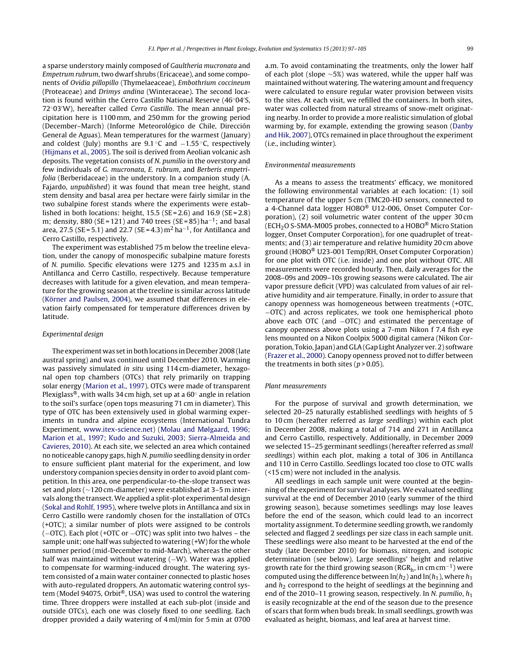a sparse understory mainly composed of Gaultheria mucronata and Empetrum rubrum,two dwarf shrubs (Ericaceae), and some components of Ovidia pillopillo (Thymelaeaceae), Embothrium coccineum (Proteaceae) and Drimys andina (Winteraceae). The second location is found within the Cerro Castillo National Reserve (46◦04 S, 72◦03 W), hereafter called Cerro Castillo. The mean annual precipitation here is 1100 mm, and 250 mm for the growing period (December–March) (Informe Meteorológico de Chile, Dirección General de Aguas). Mean temperatures for the warmest (January) and coldest (July) months are 9.1 °C and −1.55 °C, respectively ([Hijmans](#page-7-0) et [al.,](#page-7-0) [2005\).](#page-7-0) The soil is derived from Aeolian volcanic ash deposits. The vegetation consists of N. pumilio in the overstory and few individuals of G. mucronata, E. rubrum, and Berberis empetrifolia (Berberidaceae) in the understory. In a companion study (A. Fajardo, unpublished) it was found that mean tree height, stand stem density and basal area per hectare were fairly similar in the two subalpine forest stands where the experiments were established in both locations: height,  $15.5$  (SE = 2.6) and  $16.9$  (SE = 2.8) m; density, 880 (SE = 121) and 740 trees (SE = 85) ha<sup>-1</sup>; and basal area, 27.5 (SE = 5.1) and 22.7 (SE = 4.3) m<sup>2</sup> ha<sup>-1</sup>, for Antillanca and Cerro Castillo, respectively.

The experiment was established 75 m below the treeline elevation, under the canopy of monospecific subalpine mature forests of N. pumilio. Specific elevations were 1275 and 1235 m a.s.l in Antillanca and Cerro Castillo, respectively. Because temperature decreases with latitude for a given elevation, and mean temperature for the growing season at the treeline is similar across latitude ([Körner](#page-7-0) [and](#page-7-0) [Paulsen,](#page-7-0) [2004\),](#page-7-0) we assumed that differences in elevation fairly compensated for temperature differences driven by latitude.

#### Experimental design

The experiment was set in both locations in December 2008 (late austral spring) and was continued until December 2010. Warming was passively simulated in situ using 114 cm-diameter, hexagonal open top chambers (OTCs) that rely primarily on trapping solar energy ([Marion](#page-7-0) et [al.,](#page-7-0) [1997\).](#page-7-0) OTCs were made of transparent Plexiglass®, with walls 34 cm high, set up at a 60◦ angle in relation to the soil's surface (open tops measuring 71 cm in diameter). This type of OTC has been extensively used in global warming experiments in tundra and alpine ecosystems (International Tundra Experiment, [www.itex-science.net](http://www.itex-science.net/)) [\(Molau](#page-7-0) [and](#page-7-0) [Mølgaard,](#page-7-0) [1996;](#page-7-0) [Marion](#page-7-0) et [al.,](#page-7-0) [1997;](#page-7-0) [Kudo](#page-7-0) [and](#page-7-0) [Suzuki,](#page-7-0) [2003;](#page-7-0) [Sierra-Almeida](#page-7-0) [and](#page-7-0) [Cavieres,](#page-7-0) [2010\).](#page-7-0) At each site, we selected an area which contained no noticeable canopy gaps, high N. pumilio seedling density in order to ensure sufficient plant material for the experiment, and low understory companion species density in order to avoid plant competition. In this area, one perpendicular-to-the-slope transect was set and plots (∼120 cm-diameter) were established at 3–5 m intervals along the transect.We applied a split-plot experimental design ([Sokal](#page-8-0) [and](#page-8-0) [Rohlf,](#page-8-0) [1995\),](#page-8-0) where twelve plots in Antillanca and six in Cerro Castillo were randomly chosen for the installation of OTCs (+OTC); a similar number of plots were assigned to be controls (−OTC). Each plot (+OTC or −OTC) was split into two halves – the sample unit; one half was subjected to watering (+W) for the whole summer period (mid-December to mid-March), whereas the other half was maintained without watering (−W). Water was applied to compensate for warming-induced drought. The watering system consisted of a main water container connected to plastic hoses with auto-regulated droppers. An automatic watering control system (Model 94075, Orbit®, USA) was used to control the watering time. Three droppers were installed at each sub-plot (inside and outside OTCs), each one was closely fixed to one seedling. Each dropper provided a daily watering of 4 ml/min for 5 min at 0700 a.m. To avoid contaminating the treatments, only the lower half of each plot (slope ∼5%) was watered, while the upper half was maintained without watering. The watering amount and frequency were calculated to ensure regular water provision between visits to the sites. At each visit, we refilled the containers. In both sites, water was collected from natural streams of snow-melt originating nearby. In order to provide a more realistic simulation of global warming by, for example, extending the growing season [\(Danby](#page-7-0) [and](#page-7-0) [Hik,](#page-7-0) [2007\),](#page-7-0) OTCs remained in place throughout the experiment (i.e., including winter).

#### Environmental measurements

As a means to assess the treatments' efficacy, we monitored the following environmental variables at each location: (1) soil temperature of the upper 5 cm (TMC20-HD sensors, connected to a 4-Channel data logger HOBO® U12-006, Onset Computer Corporation), (2) soil volumetric water content of the upper 30 cm (ECH<sub>2</sub>O S-SMA-M005 probes, connected to a HOBO<sup>®</sup> Micro Station logger, Onset Computer Corporation), for one quadruplet of treatments; and (3) air temperature and relative humidity 20 cm above ground (HOBO® U23-001 Temp/RH, Onset Computer Corporation) for one plot with OTC (i.e. inside) and one plot without OTC. All measurements were recorded hourly. Then, daily averages for the 2008–09s and 2009–10s growing seasons were calculated. The air vapor pressure deficit (VPD) was calculated from values of air relative humidity and air temperature. Finally, in order to assure that canopy openness was homogeneous between treatments (+OTC, −OTC) and across replicates, we took one hemispherical photo above each OTC (and −OTC) and estimated the percentage of canopy openness above plots using a 7-mm Nikon f 7.4 fish eye lens mounted on a Nikon Coolpix 5000 digital camera (Nikon Corporation, Tokio, Japan) and GLA (Gap Light Analyzer ver. 2) software ([Frazer](#page-7-0) et [al.,](#page-7-0) [2000\).](#page-7-0) Canopy openness proved not to differ between the treatments in both sites ( $p > 0.05$ ).

#### Plant measurements

For the purpose of survival and growth determination, we selected 20–25 naturally established seedlings with heights of 5 to 10 cm (hereafter referred as large seedlings) within each plot in December 2008, making a total of 714 and 271 in Antillanca and Cerro Castillo, respectively. Additionally, in December 2009 we selected 15–25 germinant seedlings (hereafter referred as small seedlings) within each plot, making a total of 306 in Antillanca and 110 in Cerro Castillo. Seedlings located too close to OTC walls (<15 cm) were not included in the analysis.

All seedlings in each sample unit were counted at the beginning of the experiment for survival analyses. We evaluated seedling survival at the end of December 2010 (early summer of the third growing season), because sometimes seedlings may lose leaves before the end of the season, which could lead to an incorrect mortality assignment. To determine seedling growth, we randomly selected and flagged 2 seedlings per size class in each sample unit. These seedlings were also meant to be harvested at the end of the study (late December 2010) for biomass, nitrogen, and isotopic determination (see below). Large seedlings' height and relative growth rate for the third growing season ( $RGR_h$ , in cm cm<sup>-1</sup>) were computed using the difference between  $\ln(h_2)$  and  $\ln(h_1)$ , where  $h_1$ and  $h_2$  correspond to the height of seedlings at the beginning and end of the 2010–11 growing season, respectively. In N. pumilio,  $h_1$ is easily recognizable at the end of the season due to the presence of scars that form when buds break. In small seedlings, growth was evaluated as height, biomass, and leaf area at harvest time.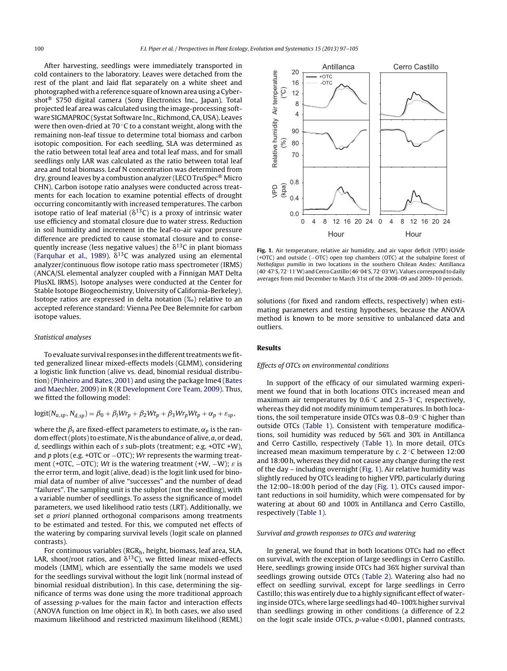After harvesting, seedlings were immediately transported in cold containers to the laboratory. Leaves were detached from the rest of the plant and laid flat separately on a white sheet and photographed with a reference square of known area using a Cybershot® S750 digital camera (Sony Electronics Inc., Japan). Total projected leaf area was calculated using the image-processing software SIGMAPROC (Systat Software Inc., Richmond, CA, USA). Leaves were then oven-dried at 70 ℃ to a constant weight, along with the remaining non-leaf tissue to determine total biomass and carbon isotopic composition. For each seedling, SLA was determined as the ratio between total leaf area and total leaf mass, and for small seedlings only LAR was calculated as the ratio between total leaf area and total biomass. Leaf N concentration was determined from dry, ground leaves by a combustion analyzer (LECO TruSpec® Micro CHN). Carbon isotope ratio analyses were conducted across treatments for each location to examine potential effects of drought occurring concomitantly with increased temperatures. The carbon isotope ratio of leaf material ( $\delta^{13}$ C) is a proxy of intrinsic water use efficiency and stomatal closure due to water stress. Reduction in soil humidity and increment in the leaf-to-air vapor pressure difference are predicted to cause stomatal closure and to consequently increase (less negative values) the  $\delta^{13}$ C in plant biomass ([Farquhar](#page-7-0) et [al.,](#page-7-0) [1989\).](#page-7-0)  $\delta^{13}$ C was analyzed using an elemental analyzer/continuous flow isotope ratio mass spectrometer (IRMS) (ANCA/SL elemental analyzer coupled with a Finnigan MAT Delta PlusXL IRMS). Isotope analyses were conducted at the Center for Stable Isotope Biogeochemistry, University of California-Berkeley). Isotope ratios are expressed in delta notation (‰) relative to an accepted reference standard: Vienna Pee Dee Belemnite for carbon isotope values.

#### Statistical analyses

To evaluate survival responses in the different treatments we fitted generalized linear mixed-effects models (GLMM), considering a logistic link function (alive vs. dead, binomial residual distribution) [\(Pinheiro](#page-7-0) [and](#page-7-0) [Bates,](#page-7-0) [2001\)](#page-7-0) and using the package lme4 ([Bates](#page-7-0) [and](#page-7-0) [Maechler,](#page-7-0) [2009\)](#page-7-0) in R ([R](#page-8-0) [Development](#page-8-0) [Core](#page-8-0) [Team,](#page-8-0) [2009\).](#page-8-0) Thus, we fitted the following model:

$$
logit(N_{a,sp}, N_{d,sp}) = \beta_0 + \beta_1 W r_p + \beta_2 W t_p + \beta_3 W r_p W t_p + \alpha_p + \varepsilon_{sp},
$$

where the  $\beta_s$  are fixed-effect parameters to estimate,  $\alpha_p$  is the random effect (plots) to estimate, N is the abundance of alive,  $a$ , or dead, d, seedlings within each of s sub-plots (treatment; e.g. +OTC +W), and p plots (e.g. +OTC or  $-$ OTC); Wr represents the warming treatment (+OTC,  $-$ OTC); Wt is the watering treatment (+W,  $-$ W);  $\varepsilon$  is the error term, and logit (alive, dead) is the logit link used for binomial data of number of alive "successes" and the number of dead "failures". The sampling unit is the subplot (not the seedling), with a variable number of seedlings. To assess the significance of model parameters, we used likelihood ratio tests (LRT). Additionally, we set a priori planned orthogonal comparisons among treatments to be estimated and tested. For this, we computed net effects of the watering by comparing survival levels (logit scale on planned contrasts).

For continuous variables ( $RGR_h$ , height, biomass, leaf area, SLA, LAR, shoot/root ratios, and  $\delta^{13}$ C), we fitted linear mixed-effects models (LMM), which are essentially the same models we used for the seedlings survival without the logit link (normal instead of binomial residual distribution). In this case, determining the significance of terms was done using the more traditional approach of assessing p-values for the main factor and interaction effects (ANOVA function on lme object in R). In both cases, we also used maximum likelihood and restricted maximum likelihood (REML)



**Fig. 1.** Air temperature, relative air humidity, and air vapor deficit (VPD) inside (+OTC) and outside (−OTC) open top chambers (OTC) at the subalpine forest of Nothofagus pumilio in two locations in the southern Chilean Andes: Antillanca (40◦47 S, 72◦11 W) and Cerro Castillo (46◦04 S, 72◦03 W).Values correspond to daily averages from mid December to March 31st of the 2008–09 and 2009–10 periods.

solutions (for fixed and random effects, respectively) when estimating parameters and testing hypotheses, because the ANOVA method is known to be more sensitive to unbalanced data and outliers.

#### **Results**

#### Effects of OTCs on environmental conditions

In support of the efficacy of our simulated warming experiment we found that in both locations OTCs increased mean and maximum air temperatures by 0.6  $\degree$ C and 2.5–3  $\degree$ C, respectively, whereas they did not modify minimum temperatures. In both locations, the soil temperature inside OTCs was 0.8–0.9 ◦C higher than outside OTCs [\(Table](#page-4-0) 1). Consistent with temperature modifications, soil humidity was reduced by 56% and 30% in Antillanca and Cerro Castillo, respectively [\(Table](#page-4-0) 1). In more detail, OTCs increased mean maximum temperature by  $c$ .  $2^{\circ}$ C between 12:00 and 18:00 h, whereas they did not cause any change during the rest of the day – including overnight (Fig. 1). Air relative humidity was slightly reduced by OTCs leading to higher VPD, particularly during the 12:00–18:00 h period of the day (Fig. 1). OTCs caused important reductions in soil humidity, which were compensated for by watering at about 60 and 100% in Antillanca and Cerro Castillo, respectively [\(Table](#page-4-0) 1).

#### Survival and growth responses to OTCs and watering

In general, we found that in both locations OTCs had no effect on survival, with the exception of large seedlings in Cerro Castillo. Here, seedlings growing inside OTCs had 36% higher survival than seedlings growing outside OTCs [\(Table](#page-4-0) 2). Watering also had no effect on seedling survival, except for large seedlings in Cerro Castillo; this was entirely due to a highly significant effect of watering inside OTCs, where large seedlings had 40–100% higher survival than seedlings growing in other conditions (a difference of 2.2 on the logit scale inside OTCs, p-value < 0.001, planned contrasts,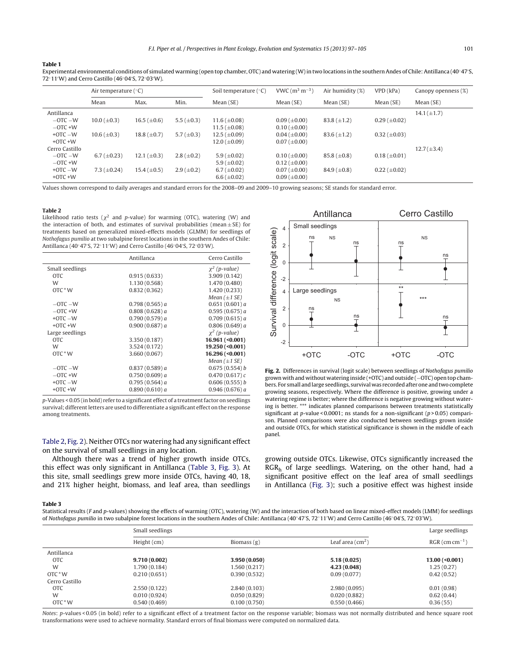<span id="page-4-0"></span>**Table 1**

| Experimental environmental conditions of simulated warming (open top chamber, OTC) and watering (W) in two locations in the southern Andes of Chile: Antillanca (40°47'S |
|--------------------------------------------------------------------------------------------------------------------------------------------------------------------------|
| 72°11′W) and Cerro Castillo (46°04′S, 72°03′W).                                                                                                                          |

|                | Air temperature $(°C)$ |                  |                   | Soil temperature ( $\degree$ C) | VWC $(m^3 m^{-3})$    | Air humidity (%)   | VPD(kPa)            | Canopy openness (%) |
|----------------|------------------------|------------------|-------------------|---------------------------------|-----------------------|--------------------|---------------------|---------------------|
|                | Mean                   | Max.             | Min.              | Mean(SE)                        | Mean (SE)             | Mean (SE)          | Mean (SE)           | Mean (SE)           |
| Antillanca     |                        |                  |                   |                                 |                       |                    |                     | $14.1 (\pm 1.7)$    |
| $-$ OTC $-$ W  | $10.0 (\pm 0.3)$       | $16.5 (\pm 0.6)$ | 5.5 ( $\pm$ 0.3)  | $11.6 (\pm 0.08)$               | $0.09$ ( $\pm 0.00$ ) | $83.8 \ (\pm 1.2)$ | $0.29 \ (\pm 0.02)$ |                     |
| $-$ OTC +W     |                        |                  |                   | $11.5 \ (\pm 0.08)$             | $0.10 \ (\pm 0.00)$   |                    |                     |                     |
| $+$ OTC $-$ W  | $10.6 (\pm 0.3)$       | 18.8 $(\pm 0.7)$ | 5.7 ( $\pm$ 0.3)  | $12.5 \ (\pm 0.09)$             | $0.04$ ( $\pm 0.00$ ) | $83.6 \ (\pm 1.2)$ | $0.32 \ (\pm 0.03)$ |                     |
| $+$ OTC $+$ W  |                        |                  |                   | $12.0 (\pm 0.09)$               | $0.07 (\pm 0.00)$     |                    |                     |                     |
| Cerro Castillo |                        |                  |                   |                                 |                       |                    |                     | $12.7(\pm 3.4)$     |
| $-$ OTC $-$ W  | $6.7 (\pm 0.23)$       | 12.1 $(\pm 0.3)$ | $2.8 (\pm 0.2)$   | 5.9 ( $\pm$ 0.02)               | $0.10 \ (\pm 0.00)$   | 85.8 $(\pm 0.8)$   | $0.18 (\pm 0.01)$   |                     |
| $-$ OTC +W     |                        |                  |                   | 5.9 ( $\pm$ 0.02)               | $0.12 \ (\pm 0.00)$   |                    |                     |                     |
| $+$ OTC $-$ W  | 7.3 $(\pm 0.24)$       | $15.4 (\pm 0.5)$ | $2.9 \ (\pm 0.2)$ | 6.7 ( $\pm$ 0.02)               | $0.07 (\pm 0.00)$     | $84.9 (\pm 0.8)$   | $0.22 \ (\pm 0.02)$ |                     |
| $+$ OTC $+$ W  |                        |                  |                   | 6.6 ( $\pm$ 0.02)               | $0.09$ ( $\pm 0.00$ ) |                    |                     |                     |

Values shown correspond to daily averages and standard errors for the 2008–09 and 2009–10 growing seasons; SE stands for standard error.

#### **Table 2**

Likelihood ratio tests ( $\chi^2$  and p-value) for warming (OTC), watering (W) and the interaction of both, and estimates of survival probabilities (mean  $+$  SE) for treatments based on generalized mixed-effects models (GLMM) for seedlings of Nothofagus pumilio at two subalpine forest locations in the southern Andes of Chile: Antillanca (40°47′S, 72°11′W) and Cerro Castillo (46°04′S, 72°03′W).

|                 | Antillanca     | Cerro Castillo            |
|-----------------|----------------|---------------------------|
| Small seedlings |                | $\chi^2$ (p-value)        |
| <b>OTC</b>      | 0.915(0.633)   | 3.909 (0.142)             |
| W               | 1.130 (0.568)  | 1.470 (0.480)             |
| $OTC^*W$        | 0.832(0.362)   | 1.420 (0.233)             |
|                 |                | Mean $(\pm 1 \text{ SE})$ |
| $-$ OTC $-$ W   | 0.798(0.565)a  | 0.651(0.601)a             |
| $-$ OTC +W      | 0.808(0.628)a  | 0.595(0.675)a             |
| $+$ OTC $-$ W   | 0.790(0.579) a | 0.709(0.615) a            |
| $+$ OTC $+$ W   | 0.900(0.687) a | 0.806(0.649) a            |
| Large seedlings |                | $\chi^2$ (p-value)        |
| <b>OTC</b>      | 3.350 (0.187)  | $16.961 (\le 0.001)$      |
| W               | 3.524 (0.172)  | 19.250 (< 0.001)          |
| $OTC^*W$        | 3.660 (0.067)  | 16.296 (< 0.001)          |
|                 |                | Mean $(\pm 1 \text{ SE})$ |
| $-$ OTC $-$ W   | 0.837(0.589) a | 0.675(0.554) b            |
| $-$ OTC $+$ W   | 0.750(0.609) a | $0.470(0.617)$ c          |
| $+$ OTC $-$ W   | 0.795(0.564) a | 0.606(0.555) b            |
| $+$ OTC $+$ W   | 0.890(0.610)a  | 0.946(0.676) a            |
|                 |                |                           |

p-Values < 0.05 (in bold) refer to a significant effect of a treatment factor on seedlings survival; different letters are used to differentiate a significant effect on the response among treatments.

Table 2, Fig. 2). Neither OTCs nor watering had any significant effect on the survival of small seedlings in any location.

Although there was a trend of higher growth inside OTCs, this effect was only significant in Antillanca (Table 3, [Fig.](#page-5-0) 3). At this site, small seedlings grew more inside OTCs, having 40, 18, and 21% higher height, biomass, and leaf area, than seedlings



**Fig. 2.** Differences in survival (logit scale) between seedlings of Nothofagus pumilio grown with and without watering inside (+OTC) and outside (−OTC) open top chambers. For small and large seedlings, survival was recorded after one and two complete growing seasons, respectively. Where the difference is positive, growing under a watering regime is better; where the difference is negative growing without watering is better. \*\*\* indicates planned comparisons between treatments statistically significant at p-value < 0.0001; ns stands for a non-significant ( $p > 0.05$ ) comparison. Planned comparisons were also conducted between seedlings grown inside and outside OTCs, for which statistical significance is shown in the middle of each panel.

growing outside OTCs. Likewise, OTCs significantly increased the RGRh of large seedlings. Watering, on the other hand, had a significant positive effect on the leaf area of small seedlings in Antillanca ([Fig.](#page-5-0) 3); such a positive effect was highest inside

#### **Table 3**

Statistical results (F and p-values) showing the effects of warming (OTC), watering (W) and the interaction of both based on linear mixed-effect models (LMM) for seedlings of Nothofagus pumilio in two subalpine forest locations in the southern Andes of Chile: Antillanca (40◦47′S, 72°11′W) and Cerro Castillo (46◦04′S, 72◦03′W).

|                | Small seedlings |               |                        | Large seedlings              |  |
|----------------|-----------------|---------------|------------------------|------------------------------|--|
|                | Height (cm)     | Biomass $(g)$ | Leaf area $\rm (cm^2)$ | $RGR$ (cm cm <sup>-1</sup> ) |  |
| Antillanca     |                 |               |                        |                              |  |
| <b>OTC</b>     | 9.710(0.002)    | 3.950(0.050)  | 5.18(0.025)            | $13.00 \, (\le 0.001)$       |  |
| W              | 1.790 (0.184)   | 1.560 (0.217) | 4.23 (0.048)           | 1.25(0.27)                   |  |
| OTC * W        | 0.210(0.651)    | 0.390(0.532)  | 0.09(0.077)            | 0.42(0.52)                   |  |
| Cerro Castillo |                 |               |                        |                              |  |
| <b>OTC</b>     | 2.550(0.122)    | 2.840(0.103)  | 2.980(0.095)           | 0.01(0.98)                   |  |
| W              | 0.010(0.924)    | 0.050(0.829)  | 0.020(0.882)           | 0.62(0.44)                   |  |
| OTC * W        | 0.540(0.469)    | 0.100(0.750)  | 0.550(0.466)           | 0.36(55)                     |  |

Notes: p-values < 0.05 (in bold) refer to a significant effect of a treatment factor on the response variable; biomass was not normally distributed and hence square root transformations were used to achieve normality. Standard errors of final biomass were computed on normalized data.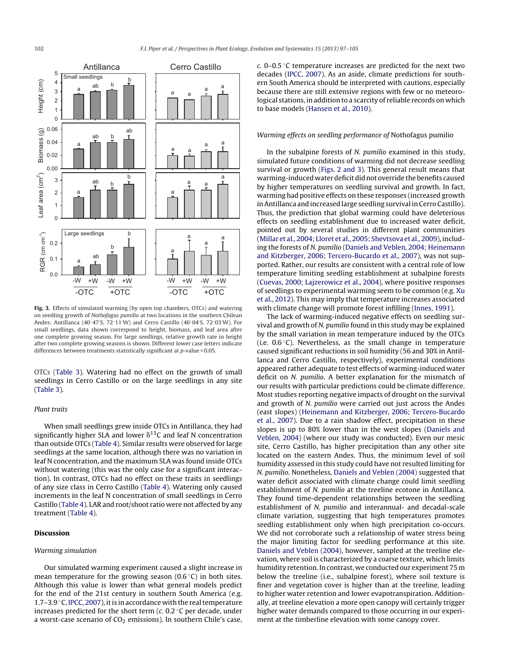<span id="page-5-0"></span>

**Fig. 3.** Effects of simulated warming (by open top chambers, OTCs) and watering on seedling growth of Nothofagus pumilio at two locations in the southern Chilean Andes: Antillanca (40°47′S, 72°11′W) and Cerro Castillo (46°04′S, 72°03′W). For small seedlings, data shown correspond to height, biomass, and leaf area after one complete growing season. For large seedlings, relative growth rate in height after two complete growing seasons is shown. Different lower case letters indicate differences between treatments statistically significant at p-value < 0.05.

OTCs ([Table](#page-4-0) 3). Watering had no effect on the growth of small seedlings in Cerro Castillo or on the large seedlings in any site ([Table](#page-4-0) 3).

#### Plant traits

When small seedlings grew inside OTCs in Antillanca, they had significantly higher SLA and lower  $\delta^{13}$ C and leaf N concentration than outside OTCs ([Table](#page-6-0) 4). Similar results were observed for large seedlings at the same location, although there was no variation in leaf N concentration, and the maximum SLA was found inside OTCs without watering (this was the only case for a significant interaction). In contrast, OTCs had no effect on these traits in seedlings of any size class in Cerro Castillo ([Table](#page-6-0) 4). Watering only caused increments in the leaf N concentration of small seedlings in Cerro Castillo ([Table](#page-6-0) 4). LAR and root/shoot ratio were not affected by any treatment [\(Table](#page-6-0) 4).

## **Discussion**

#### Warming simulation

Our simulated warming experiment caused a slight increase in mean temperature for the growing season  $(0.6\degree C)$  in both sites. Although this value is lower than what general models predict for the end of the 21st century in southern South America (e.g. 1.7–3.9 $\degree$ C, [IPCC,](#page-7-0) [2007\),](#page-7-0) it is in accordance with the real temperature increases predicted for the short term  $(c, 0.2 \degree C)$  per decade, under a worst-case scenario of  $CO<sub>2</sub>$  emissions). In southern Chile's case, c. 0–0.5 $\degree$ C temperature increases are predicted for the next two decades [\(IPCC,](#page-7-0) [2007\).](#page-7-0) As an aside, climate predictions for southern South America should be interpreted with cautions, especially because there are still extensive regions with few or no meteorological stations, in addition to a scarcity of reliable records on which to base models ([Hansen](#page-7-0) et [al.,](#page-7-0) [2010\).](#page-7-0)

#### Warming effects on seedling performance of Nothofagus pumilio

In the subalpine forests of N. pumilio examined in this study, simulated future conditions of warming did not decrease seedling survival or growth [\(Figs.](#page-4-0) 2 and 3). This general result means that warming-induced water deficit did not override the benefits caused by higher temperatures on seedling survival and growth. In fact, warming had positive effects on these responses (increased growth inAntillanca and increased large seedling survival in Cerro Castillo). Thus, the prediction that global warming could have deleterious effects on seedling establishment due to increased water deficit, pointed out by several studies in different plant communities ([Millar](#page-7-0) et [al.,](#page-7-0) [2004;](#page-7-0) [Lloret](#page-7-0) et al., [2005;](#page-7-0) [Shevtsova](#page-7-0) et al., [2009\),](#page-7-0) including the forests of N. pumilio ([Daniels](#page-7-0) [and](#page-7-0) [Veblen,](#page-7-0) [2004;](#page-7-0) [Heinemann](#page-7-0) [and](#page-7-0) [Kitzberger,](#page-7-0) [2006;](#page-7-0) [Tercero-Bucardo](#page-7-0) et [al.,](#page-7-0) [2007\),](#page-7-0) was not supported. Rather, our results are consistent with a central role of low temperature limiting seedling establishment at subalpine forests ([Cuevas,](#page-7-0) [2000;](#page-7-0) [Lajzerowicz](#page-7-0) et [al.,](#page-7-0) [2004\),](#page-7-0) where positive responses of seedlings to experimental warming seem to be common (e.g. [Xu](#page-8-0) et [al.,](#page-8-0) [2012\).](#page-8-0) This may imply that temperature increases associated with climate change will promote forest infilling ([Innes,](#page-7-0) [1991\).](#page-7-0)

The lack of warming-induced negative effects on seedling survival and growth of N. pumilio found in this study may be explained by the small variation in mean temperature induced by the OTCs (i.e.  $0.6\degree$ C). Nevertheless, as the small change in temperature caused significant reductions in soil humidity (56 and 30% in Antillanca and Cerro Castillo, respectively), experimental conditions appeared rather adequate to test effects of warming-induced water deficit on N. pumilio. A better explanation for the mismatch of our results with particular predictions could be climate difference. Most studies reporting negative impacts of drought on the survival and growth of N. pumilio were carried out just across the Andes (east slopes) ([Heinemann](#page-7-0) [and](#page-7-0) [Kitzberger,](#page-7-0) [2006;](#page-7-0) [Tercero-Bucardo](#page-7-0) et [al.,](#page-7-0) [2007\).](#page-7-0) Due to a rain shadow effect, precipitation in these slopes is up to 80% lower than in the west slopes ([Daniels](#page-7-0) [and](#page-7-0) [Veblen,](#page-7-0) [2004\)](#page-7-0) (where our study was conducted). Even our mesic site, Cerro Castillo, has higher precipitation than any other site located on the eastern Andes. Thus, the minimum level of soil humidity assessed in this study could have not resulted limiting for N. pumilio. Nonetheless, [Daniels](#page-7-0) [and](#page-7-0) [Veblen](#page-7-0) [\(2004\)](#page-7-0) suggested that water deficit associated with climate change could limit seedling establishment of N. pumilio at the treeline ecotone in Antillanca. They found time-dependent relationships between the seedling establishment of N. pumilio and interannual- and decadal-scale climate variation, suggesting that high temperatures promotes seedling establishment only when high precipitation co-occurs. We did not corroborate such a relationship of water stress being the major limiting factor for seedling performance at this site. [Daniels](#page-7-0) [and](#page-7-0) [Veblen](#page-7-0) [\(2004\),](#page-7-0) however, sampled at the treeline elevation, where soil is characterized by a coarse texture, which limits humidity retention. In contrast, we conducted our experiment 75 m below the treeline (i.e., subalpine forest), where soil texture is finer and vegetation cover is higher than at the treeline, leading to higher water retention and lower evapotranspiration. Additionally, at treeline elevation a more open canopy will certainly trigger higher water demands compared to those occurring in our experiment at the timberline elevation with some canopy cover.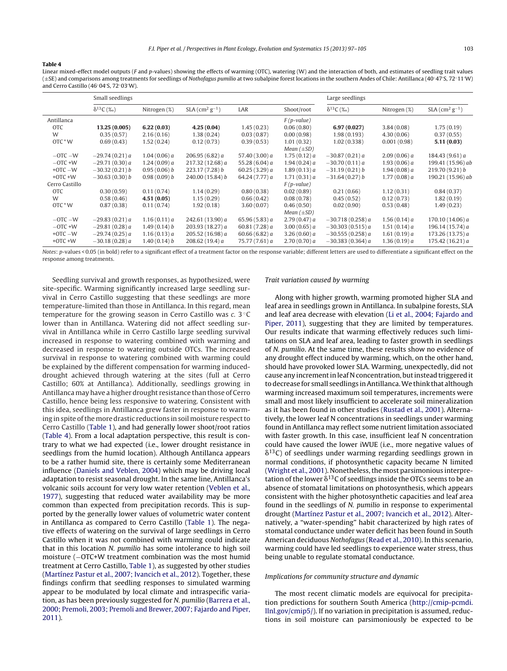#### <span id="page-6-0"></span>**Table 4**

Linear mixed-effect model outputs (F and p-values) showing the effects of warming (OTC), watering (W) and the interaction of both, and estimates of seedling trait values (±SE) and comparisons among treatments for seedlings of Nothofagus pumilio at two subalpine forest locations in the southern Andes of Chile: Antillanca (40◦47 S, 72◦11 W) and Cerro Castillo (46◦04 S, 72◦03 W).

|                | Small seedlings    |              |                                          |                  |                 | Large seedlings    |              |                                          |
|----------------|--------------------|--------------|------------------------------------------|------------------|-----------------|--------------------|--------------|------------------------------------------|
|                | $\delta^{13}C$ (%) | Nitrogen (%) | $SLA$ (cm <sup>2</sup> g <sup>-1</sup> ) | LAR              | Shoot/root      | $\delta^{13}C$ (%) | Nitrogen (%) | $SLA$ (cm <sup>2</sup> g <sup>-1</sup> ) |
| Antillanca     |                    |              |                                          |                  | $F(p-value)$    |                    |              |                                          |
| <b>OTC</b>     | 13.25 (0.005)      | 6.22(0.03)   | 4.25(0.04)                               | 1.45(0.23)       | 0.06(0.80)      | 6.97(0.027)        | 3.84(0.08)   | 1.75(0.19)                               |
| W              | 0.35(0.57)         | 2.16(0.16)   | 1.38(0.24)                               | 0.03(0.87)       | 0.00(0.98)      | 1.98(0.193)        | 4.30(0.06)   | 0.37(0.55)                               |
| OTC * W        | 0.69(0.43)         | 1.52(0.24)   | 0.12(0.73)                               | 0.39(0.53)       | 1.01(0.32)      | 1.02(0.338)        | 0.001(0.98)  | 5.11(0.03)                               |
|                |                    |              |                                          |                  | Mean $(\pm SD)$ |                    |              |                                          |
| $-$ OTC $-$ W  | $-29.74(0.21)a$    | 1.04(0.06) a | 206.95 (6.82) $a$                        | 57.40 $(3.00) a$ | 1.75(0.12)a     | $-30.87(0.21)a$    | 2.09(0.06) a | 184.43 (9.61) a                          |
| $-$ OTC +W     | $-29.71(0.30) a$   | 1.24(0.09) a | 217.32(12.68) a                          | 55.28 (6.04) $a$ | 1.94(0.24)a     | $-30.70(0.11)a$    | 1.93(0.06) a | 199.41 (15.96) ab                        |
| $+$ OTC $-$ W  | $-30.32(0.21) b$   | 0.95(0.06) b | 223.17(7.28) b                           | 60.25 $(3.29)$ a | 1.89(0.13)a     | $-31.19(0.21) b$   | 1.94(0.08) a | 219.70(9.21) b                           |
| $+$ OTC $+$ W  | $-30.63(0.30) b$   | 0.98(0.09) b | 240.00 (15.84) b                         | 64.24 (7.77) a   | 1.71(0.31)a     | $-31.64(0.27) b$   | 1.77(0.08) a | 190.21 (15.96) ab                        |
| Cerro Castillo |                    |              |                                          |                  | $F(p-value)$    |                    |              |                                          |
| <b>OTC</b>     | 0.30(0.59)         | 0.11(0.74)   | 1.14(0.29)                               | 0.80(0.38)       | 0.02(0.89)      | 0.21(0.66)         | 1.12(0.31)   | 0.84(0.37)                               |
| W              | 0.58(0.46)         | 4.51(0.05)   | 1.15(0.29)                               | 0.66(0.42)       | 0.08(0.78)      | 0.45(0.52)         | 0.12(0.73)   | 1.82(0.19)                               |
| OTC * W        | 0.87(0.38)         | 0.11(0.74)   | 1.92(0.18)                               | 3.60(0.07)       | 0.46(0.50)      | 0.02(0.90)         | 0.53(0.48)   | 1.49(0.23)                               |
|                |                    |              |                                          |                  | Mean $(\pm SD)$ |                    |              |                                          |
| $-$ OTC $-$ W  | $-29.83(0.21)a$    | 1.16(0.11)a  | 242.61 (13.90) a                         | 65.96(5.83) a    | 2.79(0.47) a    | $-30.718(0.258) a$ | 1.56(0.14) a | 170.10 (14.06) a                         |
| $-$ OTC +W     | $-29.81(0.28) a$   | 1.49(0.14) b | 203.93(18.27) a                          | 60.81(7.28) a    | 3.00(0.65) a    | $-30.303(0.515)a$  | 1.51(0.14) a | 196.14 (15.74) a                         |
| $+$ OTC $-$ W  | $-29.74(0.25) a$   | 1.16(0.13) a | 205.52(16.98) a                          | 60.66 $(6.82) a$ | 3.26(0.60) a    | $-30.555(0.258) a$ | 1.61(0.19) a | 173.26(13.75) a                          |
| $+$ OTC $+$ W  | $-30.18(0.28) a$   | 1.40(0.14) b | 208.62 $(19.4) a$                        | 75.77 (7.61) a   | 2.70(0.70)a     | $-30.383(0.364)a$  | 1.36(0.19) a | 175.42(16.21)a                           |
|                |                    |              |                                          |                  |                 |                    |              |                                          |

Notes: p-values < 0.05 (in bold) refer to a significant effect of a treatment factor on the response variable; different letters are used to differentiate a significant effect on the response among treatments.

Seedling survival and growth responses, as hypothesized, were site-specific. Warming significantly increased large seedling survival in Cerro Castillo suggesting that these seedlings are more temperature-limited than those in Antillanca. In this regard, mean temperature for the growing season in Cerro Castillo was c. 3 ◦C lower than in Antillanca. Watering did not affect seedling survival in Antillanca while in Cerro Castillo large seedling survival increased in response to watering combined with warming and decreased in response to watering outside OTCs. The increased survival in response to watering combined with warming could be explained by the different compensation for warming induceddrought achieved through watering at the sites (full at Cerro Castillo; 60% at Antillanca). Additionally, seedlings growing in Antillanca may have a higher drought resistance than those of Cerro Castillo, hence being less responsive to watering. Consistent with this idea, seedlings in Antillanca grew faster in response to warming in spite of the more drastic reductions in soil moisture respect to Cerro Castillo ([Table](#page-4-0) 1), and had generally lower shoot/root ratios (Table 4). From a local adaptation perspective, this result is contrary to what we had expected (i.e., lower drought resistance in seedlings from the humid location). Although Antillanca appears to be a rather humid site, there is certainly some Mediterranean influence ([Daniels](#page-7-0) [and](#page-7-0) [Veblen,](#page-7-0) [2004\)](#page-7-0) which may be driving local adaptation to resist seasonal drought. In the same line, Antillanca's volcanic soils account for very low water retention [\(Veblen](#page-8-0) et [al.,](#page-8-0) [1977\),](#page-8-0) suggesting that reduced water availability may be more common than expected from precipitation records. This is supported by the generally lower values of volumetric water content in Antillanca as compared to Cerro Castillo [\(Table](#page-4-0) 1). The negative effects of watering on the survival of large seedlings in Cerro Castillo when it was not combined with warming could indicate that in this location N. pumilio has some intolerance to high soil moisture (−OTC+W treatment combination was the most humid treatment at Cerro Castillo, [Table](#page-4-0) 1), as suggested by other studies ([Martínez](#page-7-0) [Pastur](#page-7-0) et [al.,](#page-7-0) [2007;](#page-7-0) [Ivancich](#page-7-0) et [al.,](#page-7-0) [2012\).](#page-7-0) Together, these findings confirm that seedling responses to simulated warming appear to be modulated by local climate and intraspecific variation, as has been previously suggested for N. pumilio ([Barrera](#page-7-0) et [al.,](#page-7-0) [2000;](#page-7-0) [Premoli,](#page-7-0) [2003;](#page-7-0) [Premoli](#page-7-0) [and](#page-7-0) [Brewer,](#page-7-0) [2007;](#page-7-0) [Fajardo](#page-7-0) [and](#page-7-0) [Piper,](#page-7-0) [2011\).](#page-7-0)

#### Trait variation caused by warming

Along with higher growth, warming promoted higher SLA and leaf area in seedlings grown in Antillanca. In subalpine forests, SLA and leaf area decrease with elevation ([Li](#page-7-0) et [al.,](#page-7-0) [2004;](#page-7-0) [Fajardo](#page-7-0) [and](#page-7-0) [Piper,](#page-7-0) [2011\),](#page-7-0) suggesting that they are limited by temperatures. Our results indicate that warming effectively reduces such limitations on SLA and leaf area, leading to faster growth in seedlings of N. pumilio. At the same time, these results show no evidence of any drought effect induced by warming, which, on the other hand, should have provoked lower SLA. Warming, unexpectedly, did not cause any increment in leaf N concentration, but instead triggered it todecrease for small seedlings inAntillanca.We think that although warming increased maximum soil temperatures, increments were small and most likely insufficient to accelerate soil mineralization as it has been found in other studies [\(Rustad](#page-8-0) et [al.,](#page-8-0) [2001\).](#page-8-0) Alternatively, the lower leaf N concentrations in seedlings under warming found in Antillanca may reflect some nutrient limitation associated with faster growth. In this case, insufficient leaf N concentration could have caused the lower iWUE (i.e., more negative values of  $\delta^{13}$ C) of seedlings under warming regarding seedlings grown in normal conditions, if photosynthetic capacity became N limited ([Wright](#page-8-0) et [al.,](#page-8-0) [2001\).](#page-8-0) Nonetheless, the most parsimonious interpretation of the lower  $\delta^{13}$ C of seedlings inside the OTCs seems to be an absence of stomatal limitations on photosynthesis, which appears consistent with the higher photosynthetic capacities and leaf area found in the seedlings of N. pumilio in response to experimental drought ([Martínez](#page-7-0) [Pastur](#page-7-0) et [al.,](#page-7-0) [2007;](#page-7-0) [Ivancich](#page-7-0) et [al.,](#page-7-0) [2012\).](#page-7-0) Alternatively, a "water-spending" habit characterized by high rates of stomatal conductance under water deficit has been found in South American deciduous Nothofagus ([Read](#page-8-0) et [al.,](#page-8-0) [2010\).](#page-8-0) In this scenario, warming could have led seedlings to experience water stress, thus being unable to regulate stomatal conductance.

#### Implications for community structure and dynamic

The most recent climatic models are equivocal for precipitation predictions for southern South America [\(http://cmip-pcmdi.](http://cmip-pcmdi.llnl.gov/cmip5/) [llnl.gov/cmip5/\)](http://cmip-pcmdi.llnl.gov/cmip5/). If no variation in precipitation is assumed, reductions in soil moisture can parsimoniously be expected to be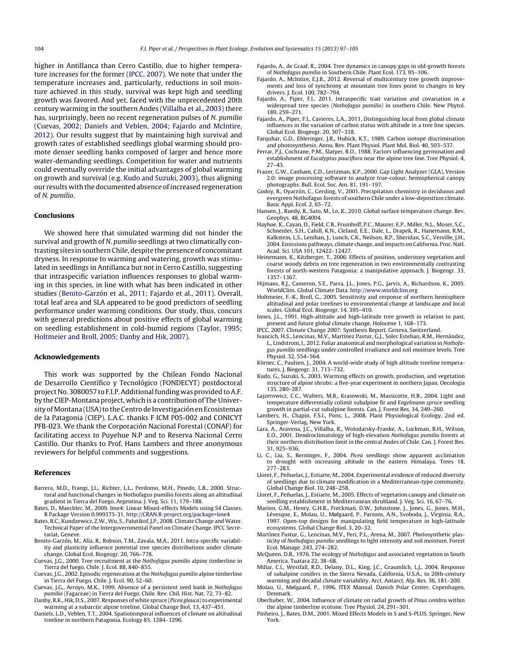<span id="page-7-0"></span>higher in Antillanca than Cerro Castillo, due to higher temperature increases for the former (IPCC, 2007). We note that under the temperature increases and, particularly, reductions in soil moisture achieved in this study, survival was kept high and seedling growth was favored. And yet, faced with the unprecedented 20th century warming in the southern Andes ([Villalba](#page-8-0) et [al.,](#page-8-0) [2003\)](#page-8-0) there has, surprisingly, been no recent regeneration pulses of N. pumilio (Cuevas, 2002; Daniels and Veblen, 2004; Fajardo and McIntire, 2012). Our results suggest that by maintaining high survival and growth rates of established seedlings global warming should promote denser seedling banks composed of larger and hence more water-demanding seedlings. Competition for water and nutrients could eventually override the initial advantages of global warming on growth and survival (e.g. Kudo and Suzuki, 2003), thus aligning our results with the documented absence ofincreased regeneration of N. pumilio.

### **Conclusions**

We showed here that simulated warming did not hinder the survival and growth of N. pumilio seedlings at two climatically contrasting sites in southern Chile, despite the presence of concomitant dryness. In response to warming and watering, growth was stimulated in seedlings in Antillanca but not in Cerro Castillo, suggesting that intraspecific variation influences responses to global warming in this species, in line with what has been indicated in other studies (Benito-Garzón et al., 2011; Fajardo et al., 2011). Overall, total leaf area and SLA appeared to be good predictors of seedling performance under warming conditions. Our study, thus, concurs with general predictions about positive effects of global warming on seedling establishment in cold-humid regions [\(Taylor,](#page-8-0) [1995;](#page-8-0) [Holtmeier](#page-8-0) [and](#page-8-0) [Broll,](#page-8-0) [2005;](#page-8-0) [Danby](#page-8-0) [and](#page-8-0) [Hik,](#page-8-0) [2007\).](#page-8-0)

#### **Acknowledgements**

This work was supported by the Chilean Fondo Nacional de Desarrollo Científico y Tecnológico (FONDECYT) postdoctoral project No. 3080057 to F.I.P. Additional funding was provided to A.F. by the CIEP-Montana project, which is a contribution of The University of Montana (USA) to the Centro de Investigación en Ecosistemas de la Patagonia (CIEP). L.A.C. thanks F ICM P05-002 and CONICYT PFB-023. We thank the Corporación Nacional Forestal (CONAF) for facilitating access to Puyehue N.P and to Reserva Nacional Cerro Castillo. Our thanks to Prof. Hans Lambers and three anonymous reviewers for helpful comments and suggestions.

#### **References**

- Barrera, M.D., Frangi, J.L., Richter, L.L., Perdomo, M.H., Pinedo, L.B., 2000. Structural and functional changes in Nothofagus pumilio forests along an altitudinal gradient in Tierra del Fuego, Argentina. J. Veg. Sci. 11, 179–188.
- Bates, D., Maechler, M., 2009. lme4: Linear Mixed-effects Models using S4 Classes. R Package Version 0.999375-31. [http://CRAN.R-project.org/package=lme4](http://cran.r-project.org/package=lme4)
- Bates, B.C., Kundzewicz, Z.W., Wu, S., Palutikof, J.P., 2008. Climate Change and Water. Technical Paper of the Intergovernmental Panel on Climate Change. IPCC Secretariat, Geneve.
- Benito-Garzón, M., Alía, R., Robson, T.M., Zavala, M.A., 2011. Intra-specific variability and plasticity influence potential tree species distributions under climate change. Global Ecol. Biogeogr. 20, 766–778.
- Cuevas, J.G., 2000. Tree recruitment at the Nothofagus pumilio alpine timberline in Tierra del fuego, Chile. J. Ecol. 88, 840–855.
- Cuevas, J.G., 2002. Episodic regeneration at the Nothofagus pumilio alpine timberline in Tierra del Fuego, Chile. J. Ecol. 90, 52–60.
- Cuevas, J.G., Arroyo, M.K., 1999. Absence of a persistent seed bank in Nothofagus pumilio (Fagaceae) in Tierra del Fuego, Chile. Rev. Chil. Hist. Nat. 72, 73–82.
- Danby, R.K., Hik, D.S., 2007. Responses of white spruce (Picea glauca) to experimental warming at a subarctic alpine treeline. Global Change Biol. 13, 437–451.
- Daniels, L.D., Veblen, T.T., 2004. Spatiotemporal influences of climate on altitudinal treeline in northern Patagonia. Ecology 85, 1284–1296.
- Fajardo, A., de Graaf, R., 2004. Tree dynamics in canopy gaps in old-growth forests of Nothofagus pumilio in Southern Chile. Plant Ecol. 173, 95–106.
- Fajardo, A., McIntire, E.J.B., 2012. Reversal of multicentury tree growth improvements and loss of synchrony at mountain tree lines point to changes in key drivers. J. Ecol. 100, 782–794.
- Fajardo, A., Piper, F.I., 2011. Intraspecific trait variation and covariation in a widespread tree species (Nothofagus pumilio) in southern Chile. New Phytol. 189, 259–271.
- Fajardo, A., Piper, F.I., Cavieres, L.A., 2011. Distinguishing local from global climate influences in the variation of carbon status with altitude in a tree line species. Global Ecol. Biogeogr. 20, 307–318.
- Farquhar, G.D., Ehleringer, J.R., Hubick, K.T., 1989. Carbon isotope discrimination and photosynthesis. Annu. Rev. Plant Physiol. Plant Mol. Biol. 40, 503–537.
- Ferrar, P.J., Cochrane, P.M., Slatyer, R.O., 1988. Factors influencing germination and establishment of Eucalyptus pauciflora near the alpine tree line. Tree Physiol. 4, 27–43.
- Frazer, G.W., Canham, C.D., Lertzman, K.P., 2000. Gap Light Analyzer (GLA), Version 2.0: image processing software to analyze true-colour, hemispherical canopy photographs. Bull. Ecol. Soc. Am. 81, 191–197.
- Godoy, R., Oyarzún, C., Gerding, V., 2001. Precipitation chemistry in deciduous and evergreen Nothofagus forests of southern Chile under a low-deposition climate. Basic Appl. Ecol. 2, 65–72.
- Hansen, J., Ruedy, R., Sato, M., Lo, K., 2010. Global surface temperature change. Rev. Geophys. 48, RG4004.
- Hayhoe, K., Cayan, D., Field, C.B., Frumhoff, P.C., Maurer, E.P., Miller, N.L., Moser, S.C., Schneider, S.H., Cahill, K.N., Cleland, E.E., Dale, L., Drapek, R., Hanemann, R.M., Kalkstein, L.S., Lenihan, J., Lunch, C.K., Neilson, R.P., Sheridan, S.C., Verville, J.H., 2004. Emissions pathways, climate change, and impacts on California. Proc. Natl. Acad. Sci. USA 101, 12422–12427.
- Heinemann, K., Kitzberger, T., 2006. Effects of position, understory vegetation and coarse woody debris on tree regeneration in two environmentally contrasting forests of north-western Patagonia: a manipulative approach. J. Biogeogr. 33, 1357–1367.
- Hijmans, R.J., Cameron, S.E., Parra, J.L., Jones, P.G., Jarvis, A., Richardson, K., 2005. WorldClim. Global Climate Data. [http://www.worldclim.org](http://www.worldclim.org/)
- Holtmeier, F.-K., Broll, G., 2005. Sensitivity and response of northern hemisphere altitudinal and polar treelines to environmental change at landscape and local scales. Global Ecol. Biogeogr. 14, 395–410.
- Innes, J.L., 1991. High-altitude and high-latitude tree growth in relation to past, present and future global climate change. Holocene 1, 168–173.
- IPCC, 2007. Climate Change 2007: Synthesis Report. Geneva, Switzerland.
- Ivancich, H.S., Lencinas, M.V., Martínez Pastur, G.J., Soler Esteban, R.M., Hernández, L., Lindstrom, I., 2012. Foliar anatomical and morphological variation in Nothofagus pumilio seedlings under controlled irradiance and soil moisture levels. Tree Physiol. 32, 554–564.
- Körner, C., Paulsen, J., 2004. A world-wide study of high altitude treeline temperatures. J. Biogeogr. 31, 713–732.
- Kudo, G., Suzuki, S., 2003. Warming effects on growth, production, and vegetation structure of alpine shrubs: a five-year experiment in northern Japan. Oecologia 135, 280–287.
- Lajzerowicz, C.C., Walters, M.B., Krasowski, M., Massicotte, H.B., 2004. Light and temperature differentially colimit subalpine fir and Engelmann spruce seedling growth in partial-cut subalpine forests. Can. J. Forest Res. 34, 249–260.
- Lambers, H., Chapin, F.S.l., Pons, L., 2008. Plant Physiological Ecology, 2nd ed. Springer-Verlag, New York.
- Lara, A., Aravena, J.C., Villalba, R., Wolodarsky-Franke, A., Luckman, B.H., Wilson, E.O., 2001. Dendroclimatology of high-elevation Nothofagus pumilio forests at their northern distribution limit in the central Andes of Chile. Can. J. Forest Res. 31, 925–936.
- Li, C., Liu, S., Berninger, F., 2004. Picea seedlings show apparent acclimation to drought with increasing altitude in the eastern Himalaya. Trees 18, 277–283.
- Lloret, F., Peñuelas, J., Estiarte, M., 2004. Experimental evidence of reduced diversity of seedlings due to climate modification in a Mediterranean-type community. Global Change Biol. 10, 248–258.
- Lloret, F., Peñuelas, J., Estiarte, M., 2005. Effects of vegetation canopy and climate on seedling establishment in Mediterranean shrubland. J. Veg. Sci. 16, 67–76.
- Marion, G.M., Henry, G.H.R., Freckman, D.W., Johnstone, J., Jones, G., Jones, M.H., Lévesque, E., Molau, U., Mølgaard, P., Parsons, A.N., Svoboda, J., Virginia, R.A., 1997. Open-top designs for manipulating field temperature in high-latitude ecosystems. Global Change Biol. 3, 20–32.
- Martínez Pastur, G., Lencinas, M.V., Peri, P.L., Arena, M., 2007. Photosynthetic plasticity of Nothofagus pumilio seedlings to light intensity and soil moisture. Forest Ecol. Manage. 243, 274–282.
- McQueen, D.R., 1976. The ecology of Nothofagus and associated vegetation in South America. Tuatara 22, 38–68.
- Millar, C.I., Westfall, R.D., Delany, D.L., King, J.C., Graumlich, L.J., 2004. Response of subalpine conifers in the Sierra Nevada, California, U.S.A., to 20th-century warming and decadal climate variability. Arct. Antarct. Alp. Res. 36, 181–200.
- Molau, U., Mølgaard, P., 1996. ITEX Manual. Danish Polar Center, Copenhagen, Denmark.
- Oberhuber, W., 2004. Influence of climate on radial growth of Pinus cembra within the alpine timberline ecotone. Tree Physiol. 24, 291–301.
- Pinheiro, J., Bates, D.M., 2001. Mixed Effects Models in S and S-PLUS. Springer, New York.